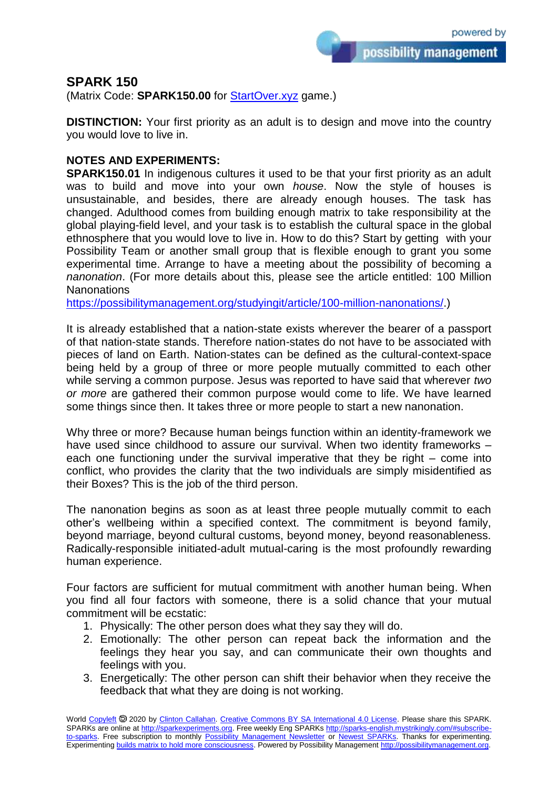possibility management

## **SPARK 150**

(Matrix Code: **SPARK150.00** for **StartOver.xyz** game.)

**DISTINCTION:** Your first priority as an adult is to design and move into the country you would love to live in.

## **NOTES AND EXPERIMENTS:**

**SPARK150.01** In indigenous cultures it used to be that your first priority as an adult was to build and move into your own *house*. Now the style of houses is unsustainable, and besides, there are already enough houses. The task has changed. Adulthood comes from building enough matrix to take responsibility at the global playing-field level, and your task is to establish the cultural space in the global ethnosphere that you would love to live in. How to do this? Start by getting with your Possibility Team or another small group that is flexible enough to grant you some experimental time. Arrange to have a meeting about the possibility of becoming a *nanonation*. (For more details about this, please see the article entitled: 100 Million **Nanonations** 

[https://possibilitymanagement.org/studyingit/article/100-million-nanonations/.](https://possibilitymanagement.org/studyingit/article/100-million-nanonations/))

It is already established that a nation-state exists wherever the bearer of a passport of that nation-state stands. Therefore nation-states do not have to be associated with pieces of land on Earth. Nation-states can be defined as the cultural-context-space being held by a group of three or more people mutually committed to each other while serving a common purpose. Jesus was reported to have said that wherever *two or more* are gathered their common purpose would come to life. We have learned some things since then. It takes three or more people to start a new nanonation.

Why three or more? Because human beings function within an identity-framework we have used since childhood to assure our survival. When two identity frameworks – each one functioning under the survival imperative that they be right – come into conflict, who provides the clarity that the two individuals are simply misidentified as their Boxes? This is the job of the third person.

The nanonation begins as soon as at least three people mutually commit to each other's wellbeing within a specified context. The commitment is beyond family, beyond marriage, beyond cultural customs, beyond money, beyond reasonableness. Radically-responsible initiated-adult mutual-caring is the most profoundly rewarding human experience.

Four factors are sufficient for mutual commitment with another human being. When you find all four factors with someone, there is a solid chance that your mutual commitment will be ecstatic:

- 1. Physically: The other person does what they say they will do.
- 2. Emotionally: The other person can repeat back the information and the feelings they hear you say, and can communicate their own thoughts and feelings with you.
- 3. Energetically: The other person can shift their behavior when they receive the feedback that what they are doing is not working.

World [Copyleft](https://en.wikipedia.org/wiki/Copyleft) <sup>5</sup> 2020 by [Clinton Callahan.](http://clintoncallahan.mystrikingly.com/) [Creative Commons BY SA International 4.0 License.](https://creativecommons.org/licenses/by-sa/4.0/) Please share this SPARK. SPARKs are online at [http://sparkexperiments.org.](http://sparks-english.mystrikingly.com/) Free weekly Eng SPARKs [http://sparks-english.mystrikingly.com/#subscribe](http://sparks-english.mystrikingly.com/#subscribe-to-sparks)[to-sparks.](http://sparks-english.mystrikingly.com/#subscribe-to-sparks) Free subscription to monthly [Possibility Management Newsletter](https://possibilitymanagement.org/news/) or [Newest SPARKs.](https://www.clintoncallahan.org/newsletter-1) Thanks for experimenting. Experimentin[g builds matrix to hold more consciousness.](http://spaceport.mystrikingly.com/) Powered by Possibility Managemen[t http://possibilitymanagement.org.](http://possibilitymanagement.org/)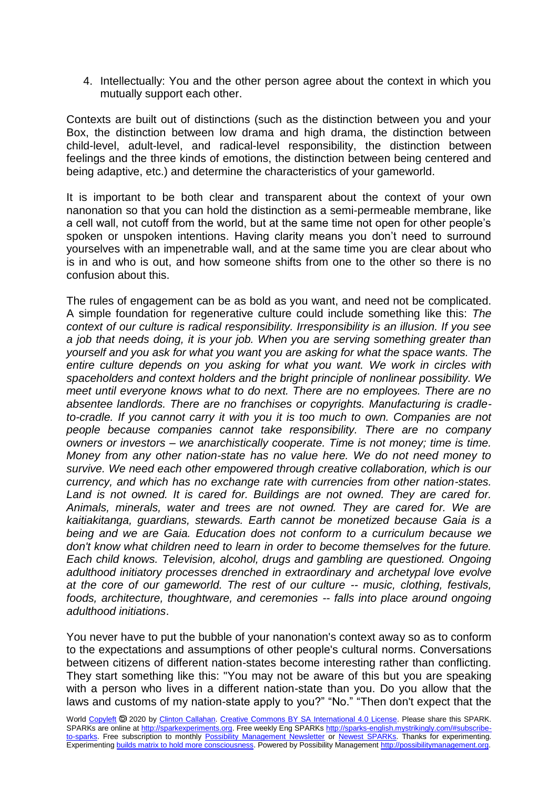4. Intellectually: You and the other person agree about the context in which you mutually support each other.

Contexts are built out of distinctions (such as the distinction between you and your Box, the distinction between low drama and high drama, the distinction between child-level, adult-level, and radical-level responsibility, the distinction between feelings and the three kinds of emotions, the distinction between being centered and being adaptive, etc.) and determine the characteristics of your gameworld.

It is important to be both clear and transparent about the context of your own nanonation so that you can hold the distinction as a semi-permeable membrane, like a cell wall, not cutoff from the world, but at the same time not open for other people's spoken or unspoken intentions. Having clarity means you don't need to surround yourselves with an impenetrable wall, and at the same time you are clear about who is in and who is out, and how someone shifts from one to the other so there is no confusion about this.

The rules of engagement can be as bold as you want, and need not be complicated. A simple foundation for regenerative culture could include something like this: *The context of our culture is radical responsibility. Irresponsibility is an illusion. If you see a job that needs doing, it is your job. When you are serving something greater than yourself and you ask for what you want you are asking for what the space wants. The entire culture depends on you asking for what you want. We work in circles with spaceholders and context holders and the bright principle of nonlinear possibility. We meet until everyone knows what to do next. There are no employees. There are no absentee landlords. There are no franchises or copyrights. Manufacturing is cradleto-cradle. If you cannot carry it with you it is too much to own. Companies are not people because companies cannot take responsibility. There are no company owners or investors – we anarchistically cooperate. Time is not money; time is time. Money from any other nation-state has no value here. We do not need money to survive. We need each other empowered through creative collaboration, which is our currency, and which has no exchange rate with currencies from other nation-states.*  Land is not owned. It is cared for. Buildings are not owned. They are cared for. *Animals, minerals, water and trees are not owned. They are cared for. We are kaitiakitanga, guardians, stewards. Earth cannot be monetized because Gaia is a being and we are Gaia. Education does not conform to a curriculum because we don't know what children need to learn in order to become themselves for the future. Each child knows. Television, alcohol, drugs and gambling are questioned. Ongoing adulthood initiatory processes drenched in extraordinary and archetypal love evolve at the core of our gameworld. The rest of our culture -- music, clothing, festivals, foods, architecture, thoughtware, and ceremonies -- falls into place around ongoing adulthood initiations*.

You never have to put the bubble of your nanonation's context away so as to conform to the expectations and assumptions of other people's cultural norms. Conversations between citizens of different nation-states become interesting rather than conflicting. They start something like this: "You may not be aware of this but you are speaking with a person who lives in a different nation-state than you. Do you allow that the laws and customs of my nation-state apply to you?" "No." "Then don't expect that the